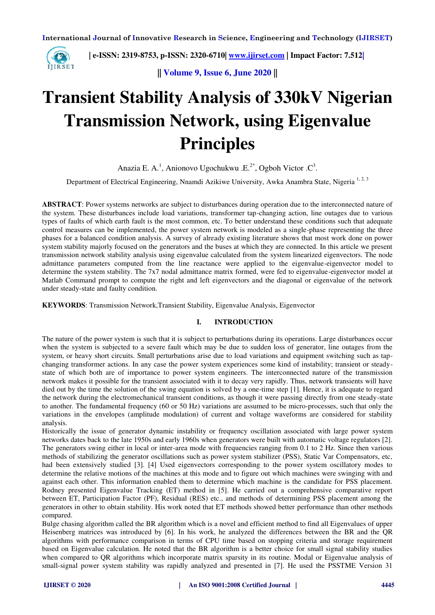

 **| e-ISSN: 2319-8753, p-ISSN: 2320-6710| [www.ijirset.com](http://www.ijirset.com/) | Impact Factor: 7.512|**

**|| Volume 9, Issue 6, June 2020 ||** 

# **Transient Stability Analysis of 330kV Nigerian Transmission Network, using Eigenvalue Principles**

Anazia E. A.<sup>1</sup>, Anionovo Ugochukwu .E.<sup>2\*</sup>, Ogboh Victor .C<sup>3</sup>.

Department of Electrical Engineering, Nnamdi Azikiwe University, Awka Anambra State, Nigeria<sup>1, 2, 3</sup>

**ABSTRACT**: Power systems networks are subject to disturbances during operation due to the interconnected nature of the system. These disturbances include load variations, transformer tap-changing action, line outages due to various types of faults of which earth fault is the most common, etc. To better understand these conditions such that adequate control measures can be implemented, the power system network is modeled as a single-phase representing the three phases for a balanced condition analysis. A survey of already existing literature shows that most work done on power system stability majorly focused on the generators and the buses at which they are connected. In this article we present transmission network stability analysis using eigenvalue calculated from the system linearized eigenvectors. The node admittance parameters computed from the line reactance were applied to the eigenvalue-eigenvector model to determine the system stability. The 7x7 nodal admittance matrix formed, were fed to eigenvalue-eigenvector model at Matlab Command prompt to compute the right and left eigenvectors and the diagonal or eigenvalue of the network under steady-state and faulty condition.

**KEYWORDS**: Transmission Network,Transient Stability, Eigenvalue Analysis, Eigenvector

## **I. INTRODUCTION**

The nature of the power system is such that it is subject to perturbations during its operations. Large disturbances occur when the system is subjected to a severe fault which may be due to sudden loss of generator, line outages from the system, or heavy short circuits. Small perturbations arise due to load variations and equipment switching such as tapchanging transformer actions. In any case the power system experiences some kind of instability; transient or steadystate of which both are of importance to power system engineers. The interconnected nature of the transmission network makes it possible for the transient associated with it to decay very rapidly. Thus, network transients will have died out by the time the solution of the swing equation is solved by a one-time step [1]. Hence, it is adequate to regard the network during the electromechanical transient conditions, as though it were passing directly from one steady-state to another. The fundamental frequency (60 or 50 Hz) variations are assumed to be micro-processes, such that only the variations in the envelopes (amplitude modulation) of current and voltage waveforms are considered for stability analysis.

Historically the issue of generator dynamic instability or frequency oscillation associated with large power system networks dates back to the late 1950s and early 1960s when generators were built with automatic voltage regulators [2]. The generators swing either in local or inter-area mode with frequencies ranging from 0.1 to 2 Hz. Since then various methods of stabilizing the generator oscillations such as power system stabilizer (PSS), Static Var Compensators, etc, had been extensively studied [3]. [4] Used eigenvectors corresponding to the power system oscillatory modes to determine the relative motions of the machines at this mode and to figure out which machines were swinging with and against each other. This information enabled them to determine which machine is the candidate for PSS placement. Rodney presented Eigenvalue Tracking (ET) method in [5]. He carried out a comprehensive comparative report between ET, Participation Factor (PF), Residual (RES) etc., and methods of determining PSS placement among the generators in other to obtain stability. His work noted that ET methods showed better performance than other methods compared.

Bulge chasing algorithm called the BR algorithm which is a novel and efficient method to find all Eigenvalues of upper Heisenberg matrices was introduced by [6]. In his work, he analyzed the differences between the BR and the QR algorithms with performance comparison in terms of CPU time based on stopping criteria and storage requirement based on Eigenvalue calculation. He noted that the BR algorithm is a better choice for small signal stability studies when compared to QR algorithms which incorporate matrix sparsity in its routine. Modal or Eigenvalue analysis of small-signal power system stability was rapidly analyzed and presented in [7]. He used the PSSTME Version 31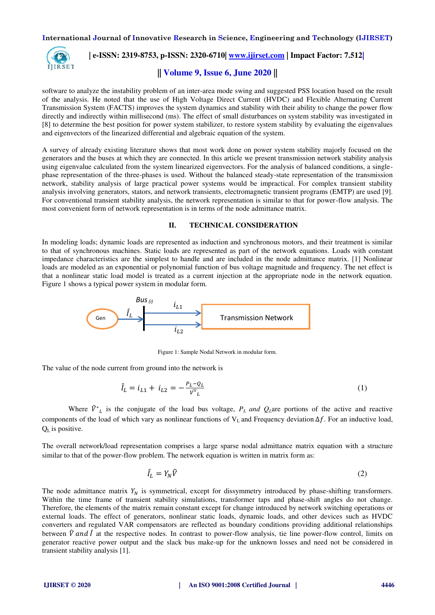

## **| e-ISSN: 2319-8753, p-ISSN: 2320-6710| [www.ijirset.com](http://www.ijirset.com/) | Impact Factor: 7.512|**

## **|| Volume 9, Issue 6, June 2020 ||**

software to analyze the instability problem of an inter-area mode swing and suggested PSS location based on the result of the analysis. He noted that the use of High Voltage Direct Current (HVDC) and Flexible Alternating Current Transmission System (FACTS) improves the system dynamics and stability with their ability to change the power flow directly and indirectly within millisecond (ms). The effect of small disturbances on system stability was investigated in [8] to determine the best position for power system stabilizer, to restore system stability by evaluating the eigenvalues and eigenvectors of the linearized differential and algebraic equation of the system.

A survey of already existing literature shows that most work done on power system stability majorly focused on the generators and the buses at which they are connected. In this article we present transmission network stability analysis using eigenvalue calculated from the system linearized eigenvectors. For the analysis of balanced conditions, a singlephase representation of the three-phases is used. Without the balanced steady-state representation of the transmission network, stability analysis of large practical power systems would be impractical. For complex transient stability analysis involving generators, stators, and network transients, electromagnetic transient programs (EMTP) are used [9]. For conventional transient stability analysis, the network representation is similar to that for power-flow analysis. The most convenient form of network representation is in terms of the node admittance matrix.

### **II. TECHNICAL CONSIDERATION**

In modeling loads; dynamic loads are represented as induction and synchronous motors, and their treatment is similar to that of synchronous machines. Static loads are represented as part of the network equations. Loads with constant impedance characteristics are the simplest to handle and are included in the node admittance matrix. [1] Nonlinear loads are modeled as an exponential or polynomial function of bus voltage magnitude and frequency. The net effect is that a nonlinear static load model is treated as a current injection at the appropriate node in the network equation. Figure 1 shows a typical power system in modular form.



Figure 1: Sample Nodal Network in modular form.

The value of the node current from ground into the network is

$$
\hat{I}_L = i_{L1} + i_{L2} = -\frac{P_L - Q_L}{\hat{V}^{\hat{+}}_L} \tag{1}
$$

Where  $\hat{V}^*$  is the conjugate of the load bus voltage,  $P_L$  *and*  $Q_L$ are portions of the active and reactive components of the load of which vary as nonlinear functions of V<sub>L</sub> and Frequency deviation ∆*f*. For an inductive load,  $Q<sub>I</sub>$  is positive.

The overall network/load representation comprises a large sparse nodal admittance matrix equation with a structure similar to that of the power-flow problem. The network equation is written in matrix form as:

$$
\hat{I}_L = Y_N \hat{V} \tag{2}
$$

The node admittance matrix  $Y_N$  is symmetrical, except for dissymmetry introduced by phase-shifting transformers. Within the time frame of transient stability simulations, transformer taps and phase-shift angles do not change. Therefore, the elements of the matrix remain constant except for change introduced by network switching operations or external loads. The effect of generators, nonlinear static loads, dynamic loads, and other devices such as HVDC converters and regulated VAR compensators are reflected as boundary conditions providing additional relationships between  $\hat{V}$  and  $\hat{I}$  at the respective nodes. In contrast to power-flow analysis, tie line power-flow control, limits on generator reactive power output and the slack bus make-up for the unknown losses and need not be considered in transient stability analysis [1].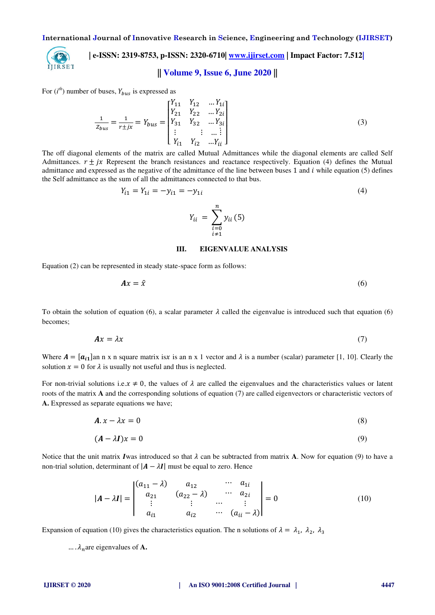

## **| e-ISSN: 2319-8753, p-ISSN: 2320-6710| [www.ijirset.com](http://www.ijirset.com/) | Impact Factor: 7.512|**

## **|| Volume 9, Issue 6, June 2020 ||**

For  $(i<sup>th</sup>)$  number of buses,  $Y_{bus}$  is expressed as

$$
\frac{1}{Z_{bus}} = \frac{1}{r \pm jx} = Y_{bus} = \begin{bmatrix} Y_{11} & Y_{12} & \dots Y_{1i} \\ Y_{21} & Y_{22} & \dots Y_{2i} \\ Y_{31} & Y_{32} & \dots Y_{3i} \\ \vdots & \vdots & \dots & \vdots \\ Y_{i1} & Y_{i2} & \dots Y_{ii} \end{bmatrix}
$$
(3)

The off diagonal elements of the matrix are called Mutual Admittances while the diagonal elements are called Self Admittances.  $r \pm jx$  Represent the branch resistances and reactance respectively. Equation (4) defines the Mutual admittance and expressed as the negative of the admittance of the line between buses 1 and  $i$  while equation (5) defines the Self admittance as the sum of all the admittances connected to that bus.

$$
Y_{i1} = Y_{1i} = -y_{1i} = -y_{1i}
$$
\n
$$
Y_{ii} = \sum_{\substack{i=0 \ i \neq 1}}^{n} y_{ii} (5)
$$
\n(4)

**III. EIGENVALUE ANALYSIS** 

Equation (2) can be represented in steady state-space form as follows:

$$
Ax = \hat{x} \tag{6}
$$

To obtain the solution of equation (6), a scalar parameter  $\lambda$  called the eigenvalue is introduced such that equation (6) becomes;

$$
Ax = \lambda x \tag{7}
$$

Where  $A = [a_{i1}]$ an n x n square matrix isx is an n x 1 vector and  $\lambda$  is a number (scalar) parameter [1, 10]. Clearly the solution  $x = 0$  for  $\lambda$  is usually not useful and thus is neglected.

For non-trivial solutions i.e.  $x \neq 0$ , the values of  $\lambda$  are called the eigenvalues and the characteristics values or latent roots of the matrix **A** and the corresponding solutions of equation (7) are called eigenvectors or characteristic vectors of **A.** Expressed as separate equations we have;

$$
A. x - \lambda x = 0 \tag{8}
$$

$$
(A - \lambda I)x = 0 \tag{9}
$$

Notice that the unit matrix I was introduced so that  $\lambda$  can be subtracted from matrix **A**. Now for equation (9) to have a non-trial solution, determinant of  $|A - \lambda I|$  must be equal to zero. Hence

$$
|\mathbf{A} - \lambda \mathbf{I}| = \begin{vmatrix} (a_{11} - \lambda) & a_{12} & \cdots & a_{1i} \\ a_{21} & (a_{22} - \lambda) & \cdots & a_{2i} \\ \vdots & \vdots & \cdots & \vdots \\ a_{i1} & a_{i2} & \cdots & (a_{ii} - \lambda) \end{vmatrix} = 0
$$
 (10)

Expansion of equation (10) gives the characteristics equation. The n solutions of  $\lambda = \lambda_1$ ,  $\lambda_2$ ,  $\lambda_3$ 

 $\ldots \lambda_n$  are eigenvalues of **A**.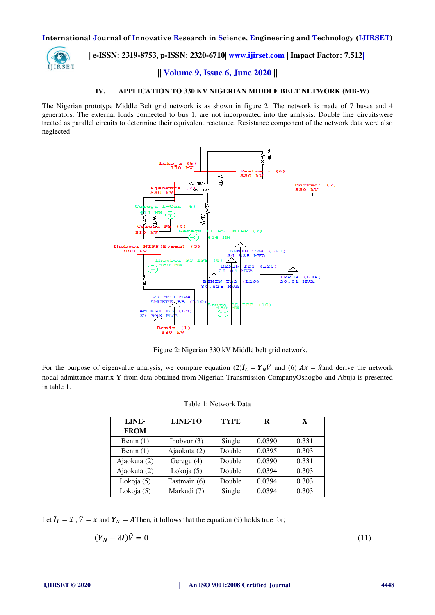

 **| e-ISSN: 2319-8753, p-ISSN: 2320-6710| [www.ijirset.com](http://www.ijirset.com/) | Impact Factor: 7.512|**

## **|| Volume 9, Issue 6, June 2020 ||**

### **IV. APPLICATION TO 330 KV NIGERIAN MIDDLE BELT NETWORK (MB-W)**

The Nigerian prototype Middle Belt grid network is as shown in figure 2. The network is made of 7 buses and 4 generators. The external loads connected to bus 1, are not incorporated into the analysis. Double line circuitswere treated as parallel circuits to determine their equivalent reactance. Resistance component of the network data were also neglected.



Figure 2: Nigerian 330 kV Middle belt grid network.

For the purpose of eigenvalue analysis, we compare equation  $(2)\mathbf{I}_L = \mathbf{Y}_N \mathbf{V}$  and  $(6)$   $A\mathbf{x} = \hat{\mathbf{x}}$  and derive the network nodal admittance matrix **Y** from data obtained from Nigerian Transmission CompanyOshogbo and Abuja is presented in table 1.

| LINE-        | LINE-TO       | <b>TYPE</b> | R      | X     |  |
|--------------|---------------|-------------|--------|-------|--|
| <b>FROM</b>  |               |             |        |       |  |
| Benin $(1)$  | Ihobvor $(3)$ | Single      | 0.0390 | 0.331 |  |
| Benin $(1)$  | Ajaokuta (2)  | Double      | 0.0395 | 0.303 |  |
| Ajaokuta (2) | Geregu $(4)$  | Double      | 0.0390 | 0.331 |  |
| Ajaokuta (2) | Lokoja (5)    | Double      | 0.0394 | 0.303 |  |
| Lokoja (5)   | Eastmain (6)  | Double      | 0.0394 | 0.303 |  |
| Lokoja (5)   | Markudi (7)   | Single      | 0.0394 | 0.303 |  |

Let  $\hat{\mathbf{l}}_L = \hat{x}$ ,  $\hat{V} = x$  and  $\mathbf{Y}_N = A$ Then, it follows that the equation (9) holds true for;

$$
(\mathbf{Y}_N - \lambda \mathbf{I})\hat{V} = 0 \tag{11}
$$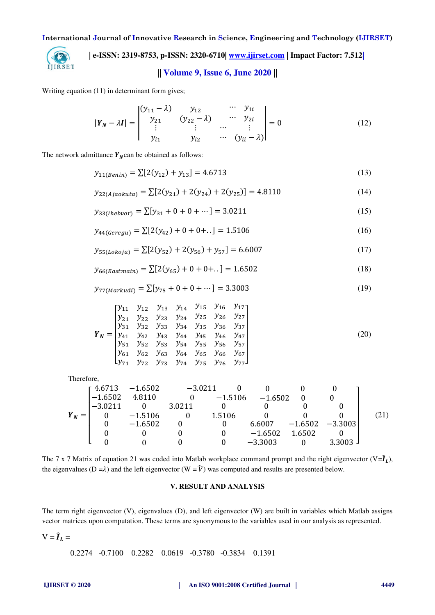

# **| e-ISSN: 2319-8753, p-ISSN: 2320-6710| [www.ijirset.com](http://www.ijirset.com/) | Impact Factor: 7.512|**

# **|| Volume 9, Issue 6, June 2020 ||**

Writing equation (11) in determinant form gives;

$$
|\mathbf{Y}_N - \lambda \mathbf{I}| = \begin{vmatrix} (y_{11} - \lambda) & y_{12} & \cdots & y_{1i} \\ y_{21} & (y_{22} - \lambda) & \cdots & y_{2i} \\ \vdots & \vdots & \cdots & \vdots \\ y_{i1} & y_{i2} & \cdots & (y_{ii} - \lambda) \end{vmatrix} = 0
$$
 (12)

The network admittance  $Y_N$ can be obtained as follows:

$$
y_{11(Benin)} = \sum [2(y_{12}) + y_{13}] = 4.6713
$$
\n(13)

$$
y_{22(Ajaokuta)} = \sum [2(y_{21}) + 2(y_{24}) + 2(y_{25})] = 4.8110
$$
\n(14)

$$
y_{33(Theboor)} = \sum [y_{31} + 0 + 0 + \dots] = 3.0211
$$
 (15)

$$
y_{44(Geregu)} = \sum [2(y_{42}) + 0 + 0 + \ldots] = 1.5106
$$
 (16)

$$
y_{55(Lokoja)} = \sum [2(y_{52}) + 2(y_{56}) + y_{57}] = 6.6007
$$
\n(17)

$$
y_{66(Eastmain)} = \sum [2(y_{65}) + 0 + 0 + .] = 1.6502
$$
\n(18)

$$
y_{77(Markudi)} = \sum [y_{75} + 0 + 0 + \dots] = 3.3003
$$
 (19)

$$
Y_N = \begin{bmatrix} y_{11} & y_{12} & y_{13} & y_{14} & y_{15} & y_{16} & y_{17} \\ y_{21} & y_{22} & y_{23} & y_{24} & y_{25} & y_{26} & y_{27} \\ y_{31} & y_{32} & y_{33} & y_{34} & y_{35} & y_{36} & y_{37} \\ y_{41} & y_{42} & y_{43} & y_{44} & y_{45} & y_{46} & y_{47} \\ y_{51} & y_{52} & y_{53} & y_{54} & y_{55} & y_{56} & y_{57} \\ y_{61} & y_{62} & y_{63} & y_{64} & y_{65} & y_{66} & y_{67} \\ y_{71} & y_{72} & y_{73} & y_{74} & y_{75} & y_{76} & y_{77} \end{bmatrix} (20)
$$

Therefore,

|         | г 4.6713  | $-1.6502$ | $-3.0211$ |           |           |           |           |      |
|---------|-----------|-----------|-----------|-----------|-----------|-----------|-----------|------|
|         | $-1.6502$ | 4.8110    |           | $-1.5106$ | $-1.6502$ |           |           |      |
|         | $-3.0211$ |           | 3.0211    |           |           |           |           |      |
| $Y_N =$ |           | $-1.5106$ |           | 1.5106    |           |           |           | (21) |
|         |           | $-1.6502$ |           |           | 6.6007    | $-1.6502$ | $-3.3003$ |      |
|         |           |           |           |           | $-1.6502$ | 1.6502    |           |      |
|         |           |           |           |           | $-3.3003$ |           | 3.3003    |      |

The 7 x 7 Matrix of equation 21 was coded into Matlab workplace command prompt and the right eigenvector  $(V = \hat{I}_L)$ , the eigenvalues (D = $\lambda$ ) and the left eigenvector (W =  $\hat{V}$ ) was computed and results are presented below.

## **V. RESULT AND ANALYSIS**

The term right eigenvector (V), eigenvalues (D), and left eigenvector (W) are built in variables which Matlab assigns vector matrices upon computation. These terms are synonymous to the variables used in our analysis as represented.

 $V = \hat{I}_L =$ 

0.2274 -0.7100 0.2282 0.0619 -0.3780 -0.3834 0.1391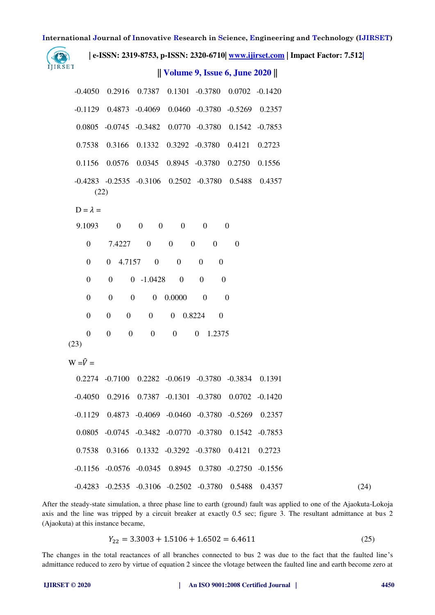**International Journal of Innovative Research in Science, Engineering and Technology (IJIRSET) | e-ISSN: 2319-8753, p-ISSN: 2320-6710| [www.ijirset.com](http://www.ijirset.com/) | Impact Factor: 7.512|** œ IJIRSET **|| Volume 9, Issue 6, June 2020 ||**  -0.4050 0.2916 0.7387 0.1301 -0.3780 0.0702 -0.1420 -0.1129 0.4873 -0.4069 0.0460 -0.3780 -0.5269 0.2357 0.0805 -0.0745 -0.3482 0.0770 -0.3780 0.1542 -0.7853 0.7538 0.3166 0.1332 0.3292 -0.3780 0.4121 0.2723 0.1156 0.0576 0.0345 0.8945 -0.3780 0.2750 0.1556 -0.4283 -0.2535 -0.3106 0.2502 -0.3780 0.5488 0.4357 (22)  $D = \lambda =$  9.1093 0 0 0 0 0 0 0 7.4227 0 0 0 0 0 0 0 4.7157 0 0 0 0 0 0 0 -1.0428 0 0 0 0 0 0 0 0.0000 0 0 0 0 0 0 0 0.8224 0 0 0 0 0 0 0 1.2375 (23)  $W = \hat{V} =$  0.2274 -0.7100 0.2282 -0.0619 -0.3780 -0.3834 0.1391 -0.4050 0.2916 0.7387 -0.1301 -0.3780 0.0702 -0.1420 -0.1129 0.4873 -0.4069 -0.0460 -0.3780 -0.5269 0.2357 0.0805 -0.0745 -0.3482 -0.0770 -0.3780 0.1542 -0.7853 0.7538 0.3166 0.1332 -0.3292 -0.3780 0.4121 0.2723 -0.1156 -0.0576 -0.0345 0.8945 0.3780 -0.2750 -0.1556 -0.4283 -0.2535 -0.3106 -0.2502 -0.3780 0.5488 0.4357 (24) After the steady-state simulation, a three phase line to earth (ground) fault was applied to one of the Ajaokuta-Lokoja axis and the line was tripped by a circuit breaker at exactly 0.5 sec; figure 3. The resultant admittance at bus 2 (Ajaokuta) at this instance became,

$$
Y_{22} = 3.3003 + 1.5106 + 1.6502 = 6.4611\tag{25}
$$

The changes in the total reactances of all branches connected to bus 2 was due to the fact that the faulted line's admittance reduced to zero by virtue of equation 2 sincee the vlotage between the faulted line and earth become zero at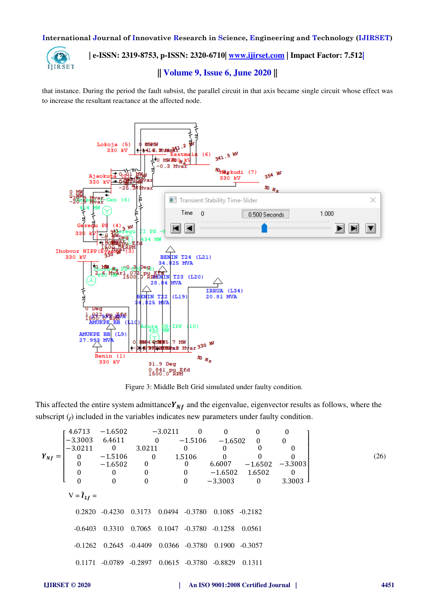

# **| e-ISSN: 2319-8753, p-ISSN: 2320-6710| [www.ijirset.com](http://www.ijirset.com/) | Impact Factor: 7.512|**

## **|| Volume 9, Issue 6, June 2020 ||**

that instance. During the period the fault subsist, the parallel circuit in that axis became single circuit whose effect was to increase the resultant reactance at the affected node.



Figure 3: Middle Belt Grid simulated under faulty condition.

This affected the entire system admittance  $Y_{Nf}$  and the eigenvalue, eigenvector results as follows, where the subscript  $(f)$  included in the variables indicates new parameters under faulty condition.

| $Y_{Nf} = \begin{bmatrix}\n 4.6713 & -1.6502 & -3.0211 & 0 & 0 & 0 & 0 \\ -3.3003 & 6.4611 & 0 & -1.5106 & -1.6502 & 0 & 0 \\ -3.0211 & 0 & 3.0211 & 0 & 0 & 0 & 0 \\ 0 & -1.5106 & 0 & 1.5106 & 0 & 0 & 0 \\ 0 & -1.6502 & 0 & 0 & 6.6007 & -1.6502 & -3.3003 \\ 0 & 0 & 0 & 0 & -1.6502 & 1.6502 & 0 \\ 0 & 0 & 0 & 0 & -3.3003 & 0 & 3.3003\n \end{bmatrix}$ \n\n |                                                     |
|----------------------------------------------------------------------------------------------------------------------------------------------------------------------------------------------------------------------------------------------------------------------------------------------------------------------------------------------------------------------|-----------------------------------------------------|
| $V = \hat{I}_{Lf} =$                                                                                                                                                                                                                                                                                                                                                 | 0.2820 -0.4230 0.3173 0.0494 -0.3780 0.1085 -0.2182 |
| -0.6403 0.3310 0.7065 0.1047 -0.3780 -0.1258 0.0561\n                                                                                                                                                                                                                                                                                                                |                                                     |
| -0.1262 0.2645 -0.4409 0.0366 -0.3780 0.1900 -0.3057\n                                                                                                                                                                                                                                                                                                               |                                                     |
| 0.1171 -0.0789 -0.2897 0.0615 -0.3780 -0.8829 0.1311\n                                                                                                                                                                                                                                                                                                               |                                                     |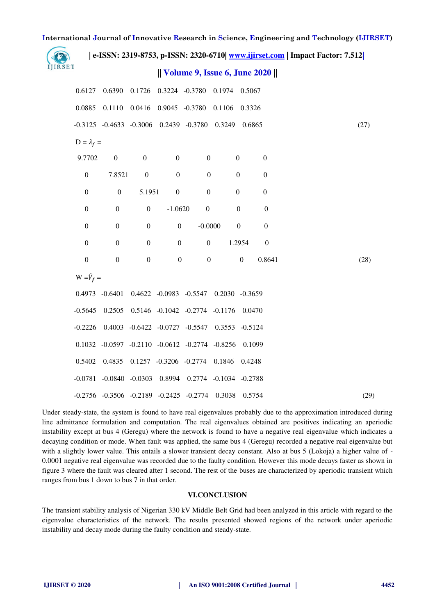| e-ISSN: 2319-8753, p-ISSN: 2320-6710  www.ijirset.com   Impact Factor: 7.512 |                   |                                                                     |                                 |                  |                                     |        |                  |                  |      |
|------------------------------------------------------------------------------|-------------------|---------------------------------------------------------------------|---------------------------------|------------------|-------------------------------------|--------|------------------|------------------|------|
| IJIRSET                                                                      |                   |                                                                     |                                 |                  | Volume 9, Issue 6, June 2020        |        |                  |                  |      |
|                                                                              | 0.6127            |                                                                     |                                 |                  | 0.6390 0.1726 0.3224 -0.3780 0.1974 |        | 0.5067           |                  |      |
|                                                                              | 0.0885            |                                                                     | 0.1110  0.0416  0.9045  -0.3780 |                  |                                     | 0.1106 | 0.3326           |                  |      |
|                                                                              |                   | -0.3125 -0.4633 -0.3006 0.2439 -0.3780 0.3249                       |                                 |                  |                                     |        | 0.6865           |                  | (27) |
|                                                                              | $D = \lambda_f =$ |                                                                     |                                 |                  |                                     |        |                  |                  |      |
|                                                                              | 9.7702            | $\boldsymbol{0}$                                                    | $\overline{0}$                  | $\boldsymbol{0}$ | $\boldsymbol{0}$                    |        | $\boldsymbol{0}$ | $\boldsymbol{0}$ |      |
|                                                                              | $\boldsymbol{0}$  | 7.8521                                                              | $\mathbf{0}$                    | $\boldsymbol{0}$ | $\boldsymbol{0}$                    |        | $\boldsymbol{0}$ | $\boldsymbol{0}$ |      |
|                                                                              | $\boldsymbol{0}$  | $\boldsymbol{0}$                                                    | 5.1951                          | $\boldsymbol{0}$ | $\boldsymbol{0}$                    |        | $\boldsymbol{0}$ | $\boldsymbol{0}$ |      |
|                                                                              | $\boldsymbol{0}$  | $\boldsymbol{0}$                                                    | $\boldsymbol{0}$                | $-1.0620$        | $\boldsymbol{0}$                    |        | $\boldsymbol{0}$ | $\boldsymbol{0}$ |      |
|                                                                              | $\boldsymbol{0}$  | $\boldsymbol{0}$                                                    | $\boldsymbol{0}$                | $\boldsymbol{0}$ | $-0.0000$                           |        | $\boldsymbol{0}$ | $\boldsymbol{0}$ |      |
|                                                                              | $\boldsymbol{0}$  | $\boldsymbol{0}$                                                    | $\boldsymbol{0}$                | $\boldsymbol{0}$ | $\boldsymbol{0}$                    |        | 1.2954           | $\boldsymbol{0}$ |      |
|                                                                              | $\boldsymbol{0}$  | $\overline{0}$                                                      | $\boldsymbol{0}$                | $\boldsymbol{0}$ | $\boldsymbol{0}$                    |        | $\boldsymbol{0}$ | 0.8641           | (28) |
|                                                                              | $W = \hat{V}_f =$ |                                                                     |                                 |                  |                                     |        |                  |                  |      |
|                                                                              |                   | 0.4973 -0.6401 0.4622 -0.0983 -0.5547 0.2030 -0.3659                |                                 |                  |                                     |        |                  |                  |      |
|                                                                              |                   | $-0.5645$ $0.2505$ $0.5146$ $-0.1042$ $-0.2774$ $-0.1176$ $0.0470$  |                                 |                  |                                     |        |                  |                  |      |
|                                                                              |                   | -0.2226 0.4003 -0.6422 -0.0727 -0.5547 0.3553 -0.5124               |                                 |                  |                                     |        |                  |                  |      |
|                                                                              |                   | $0.1032 -0.0597 -0.2110 -0.0612 -0.2774 -0.8256$                    |                                 |                  |                                     |        | 0.1099           |                  |      |
|                                                                              |                   | 0.5402 0.4835 0.1257 -0.3206 -0.2774 0.1846                         |                                 |                  |                                     |        | 0.4248           |                  |      |
|                                                                              |                   | $-0.0781$ $-0.0840$ $-0.0303$ $0.8994$ $0.2774$ $-0.1034$ $-0.2788$ |                                 |                  |                                     |        |                  |                  |      |
|                                                                              |                   | $-0.2756$ $-0.3506$ $-0.2189$ $-0.2425$ $-0.2774$ $0.3038$          |                                 |                  |                                     |        | 0.5754           |                  | (29) |

Under steady-state, the system is found to have real eigenvalues probably due to the approximation introduced during line admittance formulation and computation. The real eigenvalues obtained are positives indicating an aperiodic instability except at bus 4 (Geregu) where the network is found to have a negative real eigenvalue which indicates a decaying condition or mode. When fault was applied, the same bus 4 (Geregu) recorded a negative real eigenvalue but with a slightly lower value. This entails a slower transient decay constant. Also at bus 5 (Lokoja) a higher value of - 0.0001 negative real eigenvalue was recorded due to the faulty condition. However this mode decays faster as shown in figure 3 where the fault was cleared after 1 second. The rest of the buses are characterized by aperiodic transient which ranges from bus 1 down to bus 7 in that order.

## **VI.CONCLUSION**

The transient stability analysis of Nigerian 330 kV Middle Belt Grid had been analyzed in this article with regard to the eigenvalue characteristics of the network. The results presented showed regions of the network under aperiodic instability and decay mode during the faulty condition and steady-state.